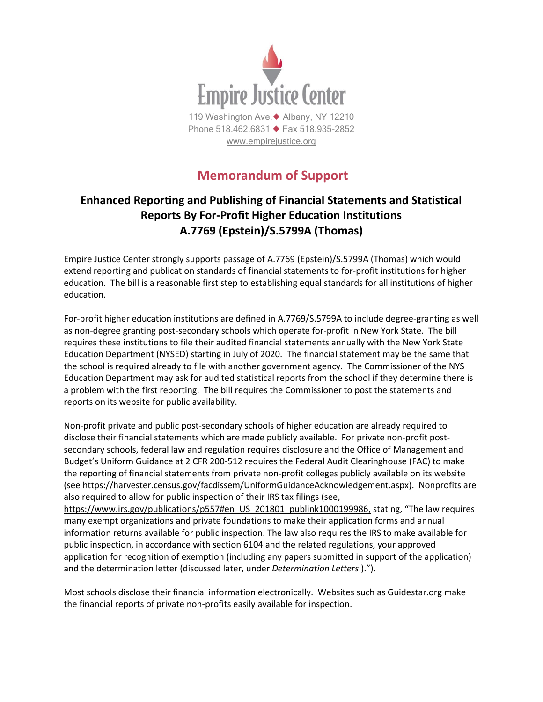

## **Memorandum of Support**

## **Enhanced Reporting and Publishing of Financial Statements and Statistical Reports By For-Profit Higher Education Institutions A.7769 (Epstein)/S.5799A (Thomas)**

Empire Justice Center strongly supports passage of A.7769 (Epstein)/S.5799A (Thomas) which would extend reporting and publication standards of financial statements to for-profit institutions for higher education. The bill is a reasonable first step to establishing equal standards for all institutions of higher education.

For-profit higher education institutions are defined in A.7769/S.5799A to include degree-granting as well as non-degree granting post-secondary schools which operate for-profit in New York State. The bill requires these institutions to file their audited financial statements annually with the New York State Education Department (NYSED) starting in July of 2020. The financial statement may be the same that the school is required already to file with another government agency. The Commissioner of the NYS Education Department may ask for audited statistical reports from the school if they determine there is a problem with the first reporting. The bill requires the Commissioner to post the statements and reports on its website for public availability.

Non-profit private and public post-secondary schools of higher education are already required to disclose their financial statements which are made publicly available. For private non-profit postsecondary schools, federal law and regulation requires disclosure and the Office of Management and Budget's Uniform Guidance at 2 CFR 200-512 requires the Federal Audit Clearinghouse (FAC) to make the reporting of financial statements from private non-profit colleges publicly available on its website (see [https://harvester.census.gov/facdissem/UniformGuidanceAcknowledgement.aspx\)](https://webmail.empirejustice.org/owa/redir.aspx?C=N7AhTxEIYWytQF5kv6aRw0l_DGN1J5BxYsFAX4fUTSNpeZ3QltvWCA..&URL=https%3a%2f%2fharvester.census.gov%2ffacdissem%2fUniformGuidanceAcknowledgement.aspx). Nonprofits are also required to allow for public inspection of their IRS tax filings (see, [https://www.irs.gov/publications/p557#en\\_US\\_201801\\_publink1000199986,](https://www.irs.gov/publications/p557#en_US_201801_publink1000199986) stating, "The law requires

many exempt organizations and private foundations to make their application forms and annual information returns available for public inspection. The law also requires the IRS to make available for public inspection, in accordance with section 6104 and the related regulations, your approved application for recognition of exemption (including any papers submitted in support of the application) and the determination letter (discussed later, under *[Determination Letters](https://www.irs.gov/publications/p557#en_US_201901_publink1000199846)* ).").

Most schools disclose their financial information electronically. Websites such as Guidestar.org make the financial reports of private non-profits easily available for inspection.